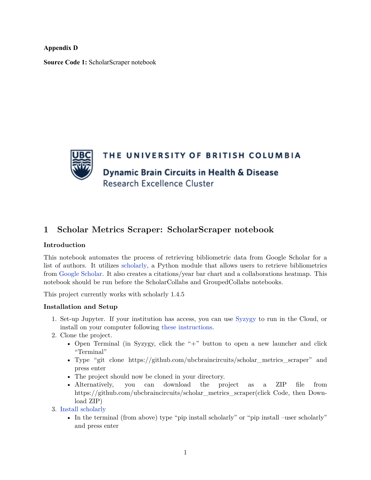**Appendix D**

**Source Code 1:** ScholarScraper notebook



## **1 Scholar Metrics Scraper: ScholarScraper notebook**

## **Introduction**

This notebook automates the process of retrieving bibliometric data from Google Scholar for a list of authors. It utilizes [scholarly](https://pypi.org/project/scholarly/), a Python module that allows users to retrieve bibliometrics from [Google Scholar.](https://scholar.google.ca/) It also creates a citations/year bar chart and a collaborations heatmap. This notebook should be run before the ScholarCollabs and GroupedCollabs notebooks.

This project currently works with scholarly 1.4.5

## **Installation and Setup**

- 1. Set-up Jupyter. If your institution has access, you can use [Syzygy](https://syzygy.ca/) to run in the Cloud, or install on your computer following [these instructions.](https://jupyter.org/install)
- 2. Clone the project.
	- Open Terminal (in Syzygy, click the " $+$ " button to open a new launcher and click "Terminal"
	- Type "git clone https://github.com/ubcbraincircuits/scholar\_metrics\_scraper" and press enter
	- The project should now be cloned in your directory.
	- Alternatively, you can download the project as a ZIP file from https://github.com/ubcbraincircuits/scholar\_metrics\_scraper(click Code, then Download ZIP)
- 3. [Install scholarly](https://pypi.org/project/scholarly/)
	- In the terminal (from above) type "pip install scholarly" or "pip install –user scholarly" and press enter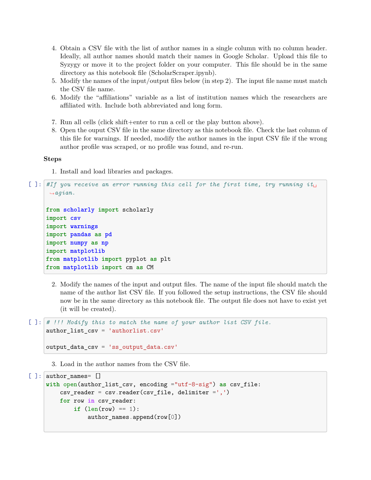- 4. Obtain a CSV file with the list of author names in a single column with no column header. Ideally, all author names should match their names in Google Scholar. Upload this file to Syzygy or move it to the project folder on your computer. This file should be in the same directory as this notebook file (ScholarScraper.ipynb).
- 5. Modify the names of the input/output files below (in step 2). The input file name must match the CSV file name.
- 6. Modify the "affiliations" variable as a list of institution names which the researchers are affiliated with. Include both abbreviated and long form.
- 7. Run all cells (click shift+enter to run a cell or the play button above).
- 8. Open the ouput CSV file in the same directory as this notebook file. Check the last column of this file for warnings. If needed, modify the author names in the input CSV file if the wrong author profile was scraped, or no profile was found, and re-run.

**Steps**

1. Install and load libraries and packages.

```
[ ]: ] #If you receive an error running this cell for the first time, try running it.
     ,→agian.
     from scholarly import scholarly
     import csv
     import warnings
     import pandas as pd
     import numpy as np
     import matplotlib
     from matplotlib import pyplot as plt
     from matplotlib import cm as CM
```
2. Modify the names of the input and output files. The name of the input file should match the name of the author list CSV file. If you followed the setup instructions, the CSV file should now be in the same directory as this notebook file. The output file does not have to exist yet (it will be created).

```
[ ]: # !!! Modify this to match the name of your author list CSV file.
     author list csv = 'authorlist.csv'
```

```
output_data_csv = 'ss_output_data.csv'
```
3. Load in the author names from the CSV file.

```
[ ]: author_names= []
     with open(author_list_csv, encoding ="utf-8-sig") as csv_file:
         csv\_reader = csv.reader(csv_file, delimiter = ', ')for row in csv_reader:
             if (len(row) == 1):
                 author_names.append(row[0])
```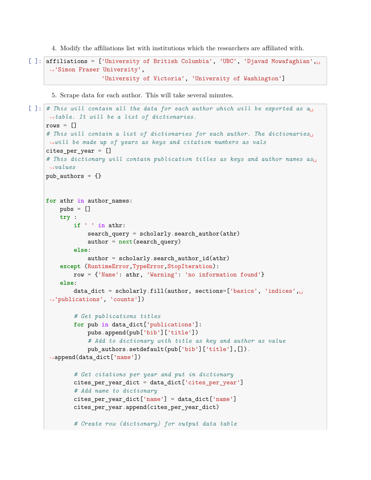4. Modify the affiliations list with institutions which the researchers are affiliated with.

```
[ ]: affiliations = ['University of British Columbia', 'UBC', 'Djavad Mowafaghian',\Box,→'Simon Fraser University',
                     'University of Victoria', 'University of Washington']
```
5. Scrape data for each author. This will take several minutes.

```
[ ]: \# This will contain all the data for each author which will be exported as a_{\text{L}},→table. It will be a list of dictionaries.
     rows = []# This will contain a list of dictionaries for each author. The dictionaries␣
     ,→will be made up of years as keys and citation numbers as vals
     cites per year = []# This dictionary will contain publication titles as keys and author names as␣
     ,→values
     pub_authors = {}for athr in author_names:
         pubs = []try :
             if ' ' in athr:
                 search_query = scholarly.search_author(athr)
                 author = next(search_query)else:
                 author = scholarly.search_author_id(athr)except (RuntimeError,TypeError,StopIteration):
             row = {'Name': athr, 'Warning': 'no information found'}
         else:
             data_dict = scholarly.fill(author, sections=['basics', 'indices',
      ,→'publications', 'counts'])
             # Get publications titles
             for pub in data_dict['publications']:
                 pubs.append(pub['bib']['title'])
                 # Add to dictionary with title as key and author as value
                 pub_authors.setdefault(pub['bib']['title'],[]).
      ,→append(data_dict['name'])
             # Get citations per year and put in dictionary
             cites_per_year_dict = data_dict['cites_per_year']
             # Add name to dictionary
             cites_per_year_dict['name'] = data_dict['name']
             cites_per_year.append(cites_per_year_dict)
             # Create row (dictionary) for output data table
```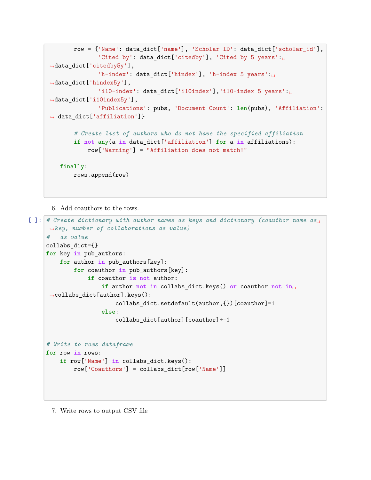```
row = {'Name': data_dict['name'], 'Scholar ID': data_dict['scholar_id'],
              'Cited by': data_dict['citedby'], 'Cited by 5 years':
,→data_dict['citedby5y'],
              'h-index': data_dict['hindex'], 'h-index 5 years':␣
,→data_dict['hindex5y'],
              'i10-index': data_dict['i10index'],'i10-index 5 years':␣
,→data_dict['i10index5y'],
              'Publications': pubs, 'Document Count': len(pubs), 'Affiliation':
,→ data_dict['affiliation']}
       # Create list of authors who do not have the specified affiliation
       if not any(a in data_dict['affiliation'] for a in affiliations):
           row['Warning'] = "Affiliation does not match!"
   finally:
       rows.append(row)
```
6. Add coauthors to the rows.

```
[ ]: # Create dictionary with author names as keys and dictionary (coauthor name as␣
     ,→key, number of collaborations as value)
     # as value
     collabs_dict={}
     for key in pub_authors:
         for author in pub_authors[key]:
             for coauthor in pub_authors[key]:
                 if coauthor is not author:
                     if author not in collabs_dict.keys() or coauthor not in␣
     ,→collabs_dict[author].keys():
                         collabs_dict.setdefault(author,{})[coauthor]=1
                     else:
                         collabs_dict[author][coauthor]+=1
     # Write to rows dataframe
     for row in rows:
         if row['Name'] in collabs_dict.keys():
             row['Coauthors'] = collabs_dict[row['Name']]
```
7. Write rows to output CSV file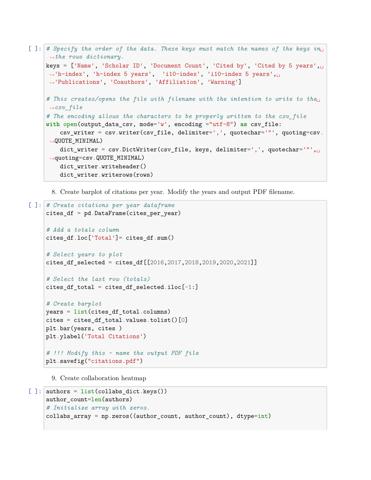```
[ ]: ]# Specify the order of the data. These keys must match the names of the keys i n_{\text{L}},→the rows dictionary.
     keys = ['Name', 'Scholar ID', 'Document Count', 'Cited by', 'Cited by 5 years', <math>\mu</math>,→'h-index', 'h-index 5 years', 'i10-index', 'i10-index 5 years',␣
     ,→'Publications', 'Coauthors', 'Affiliation', 'Warning']
     # This creates/opens the file with filename with the intention to write to the␣
      ,→csv_file
     # The encoding allows the characters to be properly written to the csv_file
     with open(output_data_csv, mode='w', encoding ="utf-8") as csv_file:
         csv_writer = csv.writer(csv_file, delimiter=',', quotechar='"', quoting=csv.
      ,→QUOTE_MINIMAL)
         dict_writer = csv.DictWriter(csv_file, keys, delimiter=',', quotechar='"',
      ,→quoting=csv.QUOTE_MINIMAL)
         dict_writer.writeheader()
         dict_writer.writerows(rows)
```
8. Create barplot of citations per year. Modify the years and output PDF filename.

```
[ ]: # Create citations per year dataframe
     cites_df = pd.DataFrame(cites_per_year)
     # Add a totals column
     cites df.loc['Total'] = cities df.sum()# Select years to plot
     cites_df_selected = cites_df[[2016,2017,2018,2019,2020,2021]]
     # Select the last row (totals)
     cites_df_total = cites_df_selected.iloc[-1:]# Create barplot
     years = list(cites_df_total.columns)
     cites = cites_df_total.values.tolist()[0]
     plt.bar(years, cites )
     plt.ylabel('Total Citations')
     # !!! Modify this - name the output PDF file
     plt.savefig("citations.pdf")
```
9. Create collaboration heatmap

```
[ ]: ] authors = list(collabs_dict.keys())
     author_count=len(authors)
     # Initialize array with zeros.
     collabs_array = np.zeros((author_count, author_count), dtype=int)
```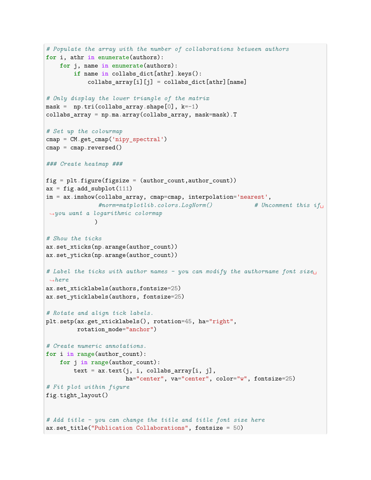```
# Populate the array with the number of collaborations between authors
for i, athr in enumerate(authors):
   for j, name in enumerate(authors):
        if name in collabs_dict[athr].keys():
            collabs\_array[i][j] = collabs\_dict[athr][name]# Only display the lower triangle of the matrix
mask = np.tri(collabs\_array.shape[0], k=-1)collabs_array = np.ma.array(collabs_array, mask=mask).T
# Set up the colourmap
cmap = CM.get_cmap('nipy_spectral')
cmap = cmap.reversed()### Create heatmap ###
fig = plt.figure(figsize = (author_count, author_count))ax = fig.add\_subplot(111)im = ax.imshow(collabs_array, cmap=cmap, interpolation='nearest',
               #norm=matplotlib.colors.LogNorm() # Uncomment this if␣
,→you want a logarithmic colormap
              \lambda# Show the ticks
ax.set_xticks(np.arange(author_count))
ax.set_yticks(np.arange(author_count))
# Label the ticks with author names - you can modify the authorname font size␣
,→here
ax.set_xticklabels(authors,fontsize=25)
ax.set_yticklabels(authors, fontsize=25)
# Rotate and align tick labels.
plt.setp(ax.get_xticklabels(), rotation=45, ha="right",
        rotation_mode="anchor")
# Create numeric annotations.
for i in range(author_count):
   for j in range(author_count):
       text = ax.text(j, i, collabs_array[i, j],ha="center", va="center", color="w", fontsize=25)
# Fit plot within figure
fig.tight_layout()
# Add title - you can change the title and title font size here
ax.set_title("Publication Collaborations", fontsize = 50)
```